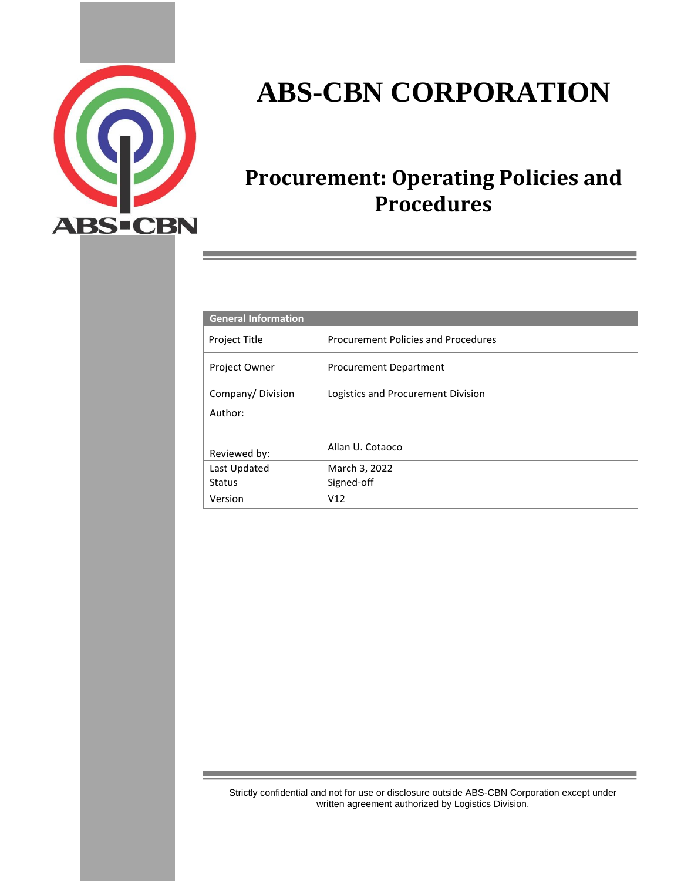

# **ABS-CBN CORPORATION**

## **Procurement: Operating Policies and Procedures**

| <b>General Information</b> |                                     |  |
|----------------------------|-------------------------------------|--|
| <b>Project Title</b>       | Procurement Policies and Procedures |  |
| Project Owner              | Procurement Department              |  |
| Company/Division           | Logistics and Procurement Division  |  |
| Author:                    |                                     |  |
|                            |                                     |  |
| Reviewed by:               | Allan U. Cotaoco                    |  |
| Last Updated               | March 3, 2022                       |  |
| <b>Status</b>              | Signed-off                          |  |
| Version                    | V12                                 |  |

Strictly confidential and not for use or disclosure outside ABS-CBN Corporation except under written agreement authorized by Logistics Division.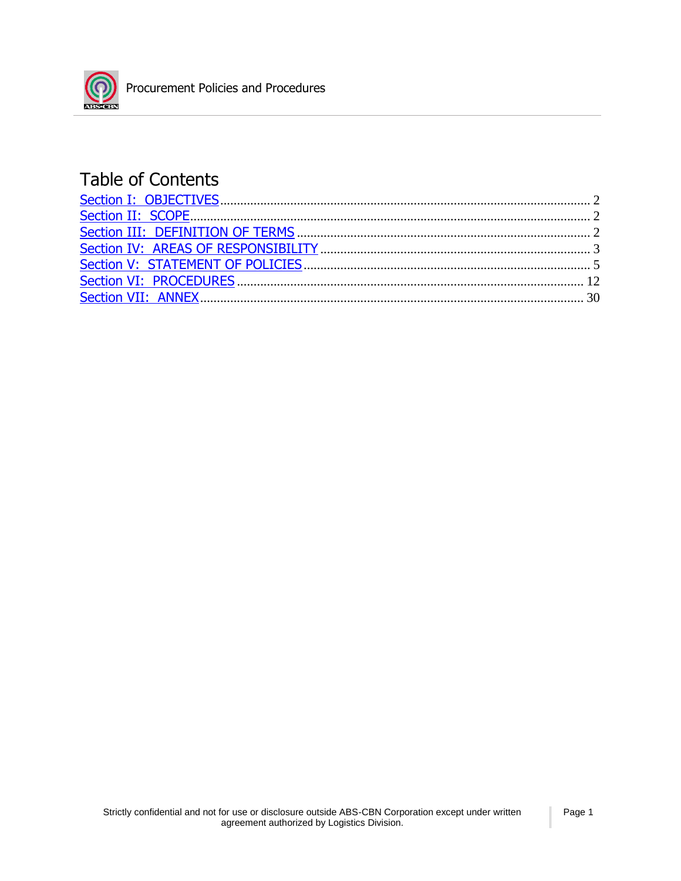

## Table of Contents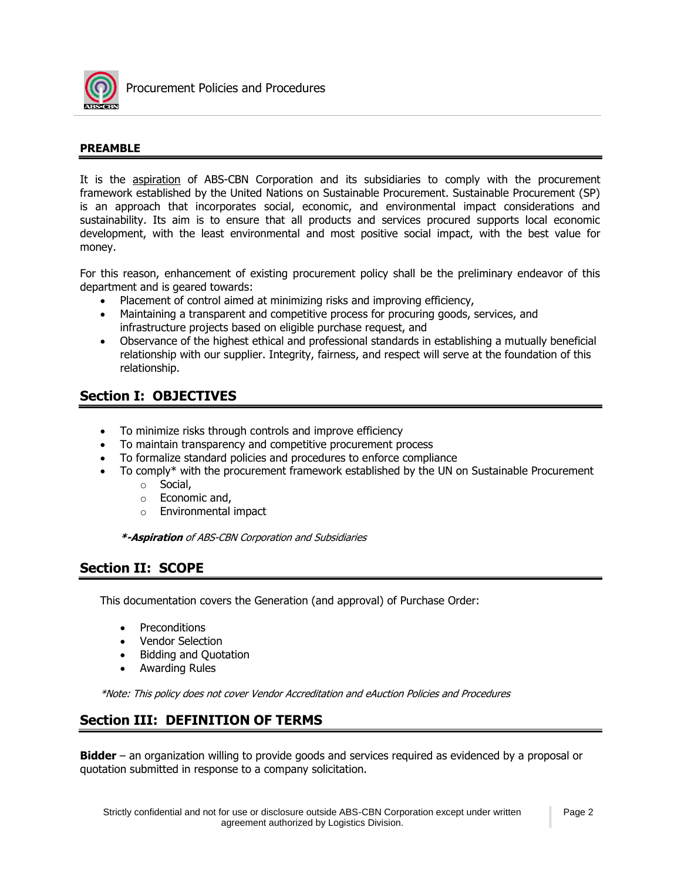

#### **PREAMBLE**

It is the aspiration of ABS-CBN Corporation and its subsidiaries to comply with the procurement framework established by the United Nations on Sustainable Procurement. Sustainable Procurement (SP) is an approach that incorporates social, economic, and environmental impact considerations and sustainability. Its aim is to ensure that all products and services procured supports local economic development, with the least environmental and most positive social impact, with the best value for money.

For this reason, enhancement of existing procurement policy shall be the preliminary endeavor of this department and is geared towards:

- Placement of control aimed at minimizing risks and improving efficiency,
- Maintaining a transparent and competitive process for procuring goods, services, and infrastructure projects based on eligible purchase request, and
- Observance of the highest ethical and professional standards in establishing a mutually beneficial relationship with our supplier. Integrity, fairness, and respect will serve at the foundation of this relationship.

## **Section I: OBJECTIVES**

- To minimize risks through controls and improve efficiency
- To maintain transparency and competitive procurement process
- To formalize standard policies and procedures to enforce compliance
- To comply\* with the procurement framework established by the UN on Sustainable Procurement
	- o Social,
	- o Economic and,
	- o Environmental impact

**\*-Aspiration** of ABS-CBN Corporation and Subsidiaries

## **Section II: SCOPE**

This documentation covers the Generation (and approval) of Purchase Order:

- **Preconditions**
- Vendor Selection
- Bidding and Quotation
- Awarding Rules

\*Note: This policy does not cover Vendor Accreditation and eAuction Policies and Procedures

## **Section III: DEFINITION OF TERMS**

**Bidder** – an organization willing to provide goods and services required as evidenced by a proposal or quotation submitted in response to a company solicitation.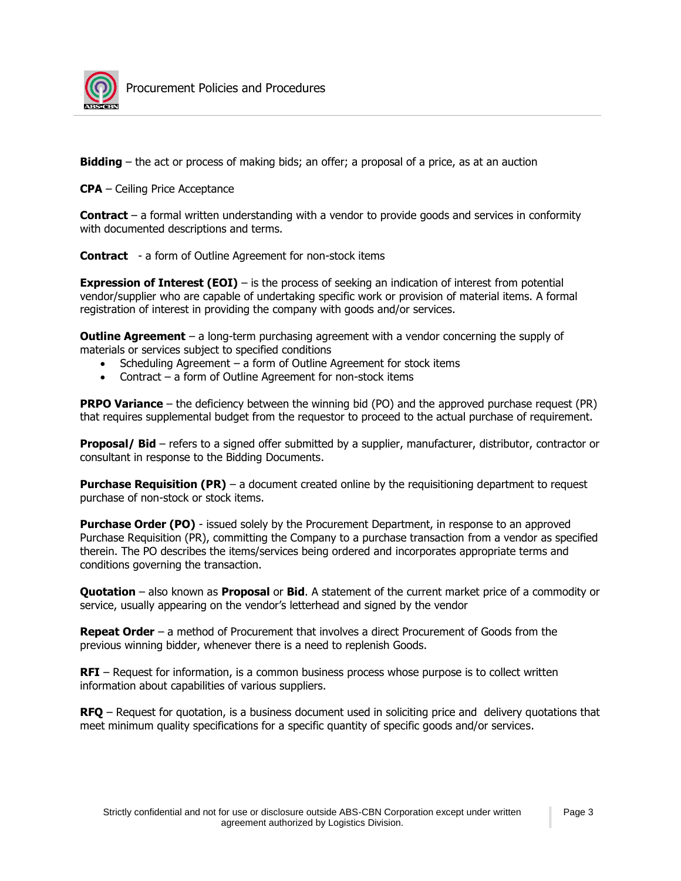

**Bidding** – the act or process of making bids; an offer; a proposal of a price, as at an auction

**CPA** – Ceiling Price Acceptance

**Contract** – a formal written understanding with a vendor to provide goods and services in conformity with documented descriptions and terms.

**Contract** - a form of Outline Agreement for non-stock items

**Expression of Interest (EOI)** – is the process of seeking an indication of interest from potential vendor/supplier who are capable of undertaking specific work or provision of material items. A formal registration of interest in providing the company with goods and/or services.

**Outline Agreement** – a long-term purchasing agreement with a vendor concerning the supply of materials or services subject to specified conditions

- Scheduling Agreement a form of Outline Agreement for stock items
- Contract a form of Outline Agreement for non-stock items

**PRPO Variance** – the deficiency between the winning bid (PO) and the approved purchase request (PR) that requires supplemental budget from the requestor to proceed to the actual purchase of requirement.

**Proposal/ Bid** – refers to a signed offer submitted by a supplier, manufacturer, distributor, contractor or consultant in response to the Bidding Documents.

**Purchase Requisition (PR)** – a document created online by the requisitioning department to request purchase of non-stock or stock items.

**Purchase Order (PO)** - issued solely by the Procurement Department, in response to an approved Purchase Requisition (PR), committing the Company to a purchase transaction from a vendor as specified therein. The PO describes the items/services being ordered and incorporates appropriate terms and conditions governing the transaction.

**Quotation** – also known as **Proposal** or **Bid**. A statement of the current market price of a commodity or service, usually appearing on the vendor's letterhead and signed by the vendor

**Repeat Order** – a method of Procurement that involves a direct Procurement of Goods from the previous winning bidder, whenever there is a need to replenish Goods.

**RFI** – Request for information, is a common business process whose purpose is to collect written information about capabilities of various suppliers.

**RFQ** – Request for quotation, is a business document used in soliciting price and delivery quotations that meet minimum quality specifications for a specific quantity of specific goods and/or services.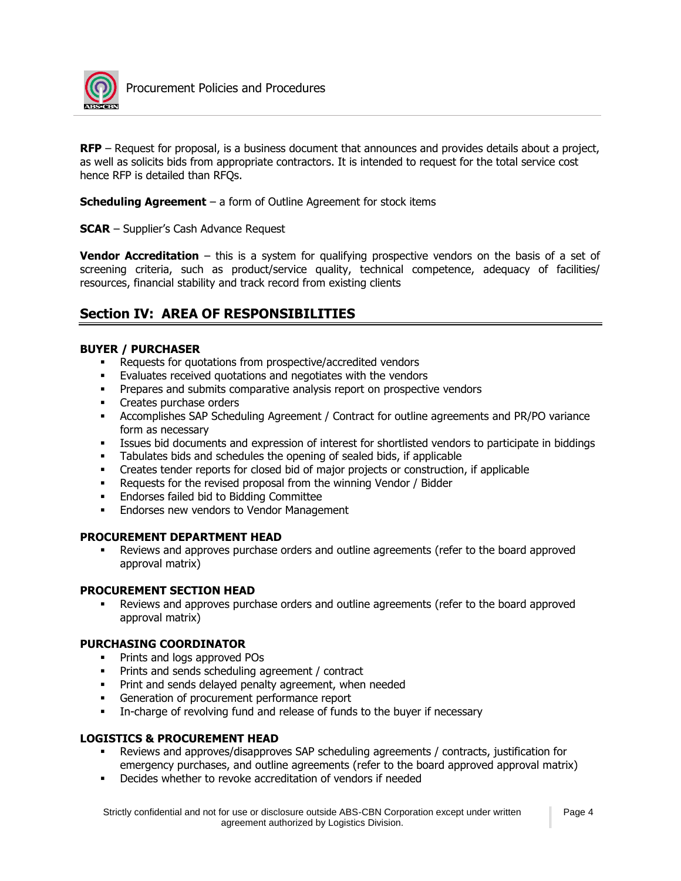

**RFP** – Request for proposal, is a business document that announces and provides details about a project, as well as solicits bids from appropriate contractors. It is intended to request for the total service cost hence RFP is detailed than RFQs.

**Scheduling Agreement** – a form of Outline Agreement for stock items

**SCAR** – Supplier's Cash Advance Request

**Vendor Accreditation** – this is a system for qualifying prospective vendors on the basis of a set of screening criteria, such as product/service quality, technical competence, adequacy of facilities/ resources, financial stability and track record from existing clients

## **Section IV: AREA OF RESPONSIBILITIES**

#### **BUYER / PURCHASER**

- Requests for quotations from prospective/accredited vendors
- Evaluates received quotations and negotiates with the vendors
- **•** Prepares and submits comparative analysis report on prospective vendors
- **•** Creates purchase orders
- Accomplishes SAP Scheduling Agreement / Contract for outline agreements and PR/PO variance form as necessary
- Issues bid documents and expression of interest for shortlisted vendors to participate in biddings
- Tabulates bids and schedules the opening of sealed bids, if applicable
- Creates tender reports for closed bid of major projects or construction, if applicable
- **•** Requests for the revised proposal from the winning Vendor / Bidder
- Endorses failed bid to Bidding Committee
- **Endorses new vendors to Vendor Management**

#### **PROCUREMENT DEPARTMENT HEAD**

Reviews and approves purchase orders and outline agreements (refer to the board approved approval matrix)

#### **PROCUREMENT SECTION HEAD**

Reviews and approves purchase orders and outline agreements (refer to the board approved approval matrix)

#### **PURCHASING COORDINATOR**

- Prints and logs approved POs
- **•** Prints and sends scheduling agreement / contract
- **•** Print and sends delayed penalty agreement, when needed
- **•** Generation of procurement performance report
- **•** In-charge of revolving fund and release of funds to the buyer if necessary

#### **LOGISTICS & PROCUREMENT HEAD**

- Reviews and approves/disapproves SAP scheduling agreements / contracts, justification for emergency purchases, and outline agreements (refer to the board approved approval matrix)
- Decides whether to revoke accreditation of vendors if needed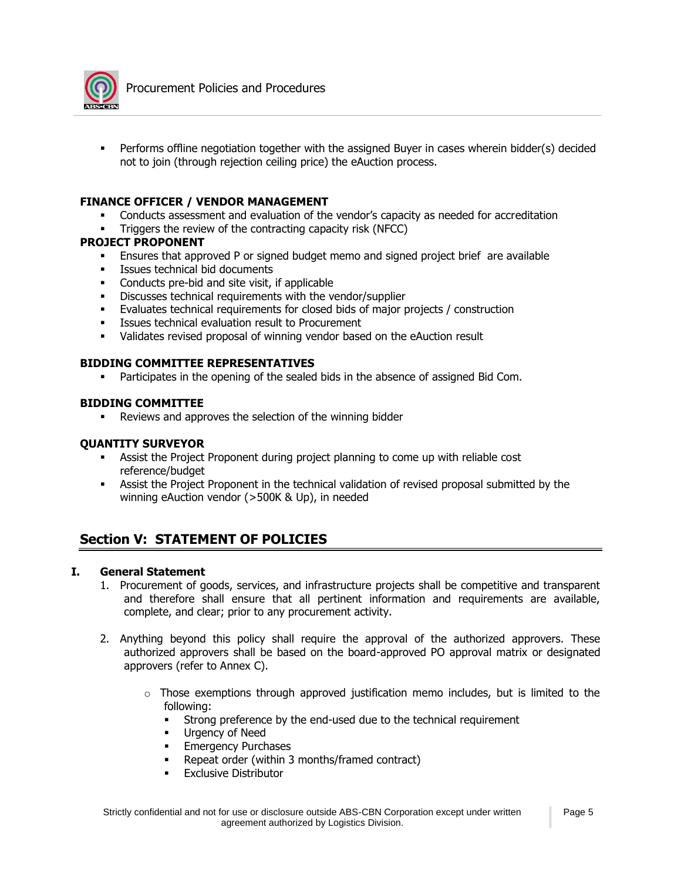

Performs offline negotiation together with the assigned Buyer in cases wherein bidder(s) decided not to join (through rejection ceiling price) the eAuction process.

#### **FINANCE OFFICER / VENDOR MANAGEMENT**

- Conducts assessment and evaluation of the vendor's capacity as needed for accreditation
- Triggers the review of the contracting capacity risk (NFCC)

#### **PROJECT PROPONENT**

- **Ensures that approved P or signed budget memo and signed project brief are available**
- **EXECUTE:** Issues technical bid documents
- Conducts pre-bid and site visit, if applicable
- Discusses technical requirements with the vendor/supplier
- Evaluates technical requirements for closed bids of major projects / construction
- Issues technical evaluation result to Procurement
- Validates revised proposal of winning vendor based on the eAuction result

#### **BIDDING COMMITTEE REPRESENTATIVES**

Participates in the opening of the sealed bids in the absence of assigned Bid Com.

#### **BIDDING COMMITTEE**

■ Reviews and approves the selection of the winning bidder

#### **QUANTITY SURVEYOR**

- **Assist the Project Proponent during project planning to come up with reliable cost** reference/budget
- **•** Assist the Project Proponent in the technical validation of revised proposal submitted by the winning eAuction vendor (>500K & Up), in needed

## **Section V: STATEMENT OF POLICIES**

#### **I. General Statement**

- 1. Procurement of goods, services, and infrastructure projects shall be competitive and transparent and therefore shall ensure that all pertinent information and requirements are available, complete, and clear; prior to any procurement activity.
- 2. Anything beyond this policy shall require the approval of the authorized approvers. These authorized approvers shall be based on the board-approved PO approval matrix or designated approvers (refer to Annex C).
	- $\circ$  Those exemptions through approved justification memo includes, but is limited to the following:
		- Strong preference by the end-used due to the technical requirement
		- Urgency of Need
		- **Emergency Purchases**
		- Repeat order (within 3 months/framed contract)
		- **Exclusive Distributor**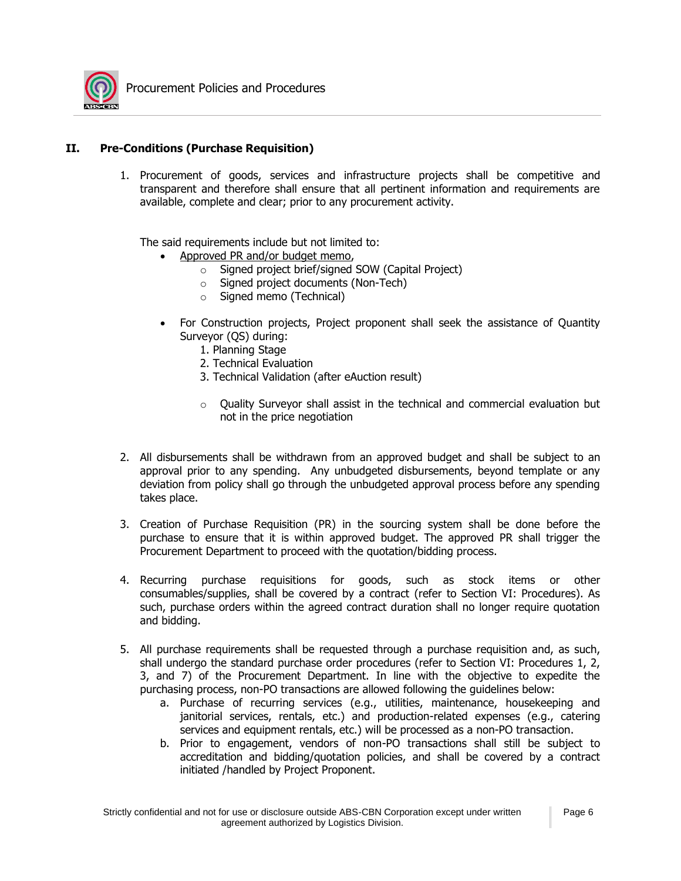

#### **II. Pre-Conditions (Purchase Requisition)**

1. Procurement of goods, services and infrastructure projects shall be competitive and transparent and therefore shall ensure that all pertinent information and requirements are available, complete and clear; prior to any procurement activity.

The said requirements include but not limited to:

- Approved PR and/or budget memo,
	- o Signed project brief/signed SOW (Capital Project)
	- o Signed project documents (Non-Tech)
	- o Signed memo (Technical)
- For Construction projects, Project proponent shall seek the assistance of Quantity Surveyor (QS) during:
	- 1. Planning Stage
	- 2. Technical Evaluation
	- 3. Technical Validation (after eAuction result)
	- o Quality Surveyor shall assist in the technical and commercial evaluation but not in the price negotiation
- 2. All disbursements shall be withdrawn from an approved budget and shall be subject to an approval prior to any spending. Any unbudgeted disbursements, beyond template or any deviation from policy shall go through the unbudgeted approval process before any spending takes place.
- 3. Creation of Purchase Requisition (PR) in the sourcing system shall be done before the purchase to ensure that it is within approved budget. The approved PR shall trigger the Procurement Department to proceed with the quotation/bidding process.
- 4. Recurring purchase requisitions for goods, such as stock items or other consumables/supplies, shall be covered by a contract (refer to Section VI: Procedures). As such, purchase orders within the agreed contract duration shall no longer require quotation and bidding.
- 5. All purchase requirements shall be requested through a purchase requisition and, as such, shall undergo the standard purchase order procedures (refer to Section VI: Procedures 1, 2, 3, and 7) of the Procurement Department. In line with the objective to expedite the purchasing process, non-PO transactions are allowed following the guidelines below:
	- a. Purchase of recurring services (e.g., utilities, maintenance, housekeeping and janitorial services, rentals, etc.) and production-related expenses (e.g., catering services and equipment rentals, etc.) will be processed as a non-PO transaction.
	- b. Prior to engagement, vendors of non-PO transactions shall still be subject to accreditation and bidding/quotation policies, and shall be covered by a contract initiated /handled by Project Proponent.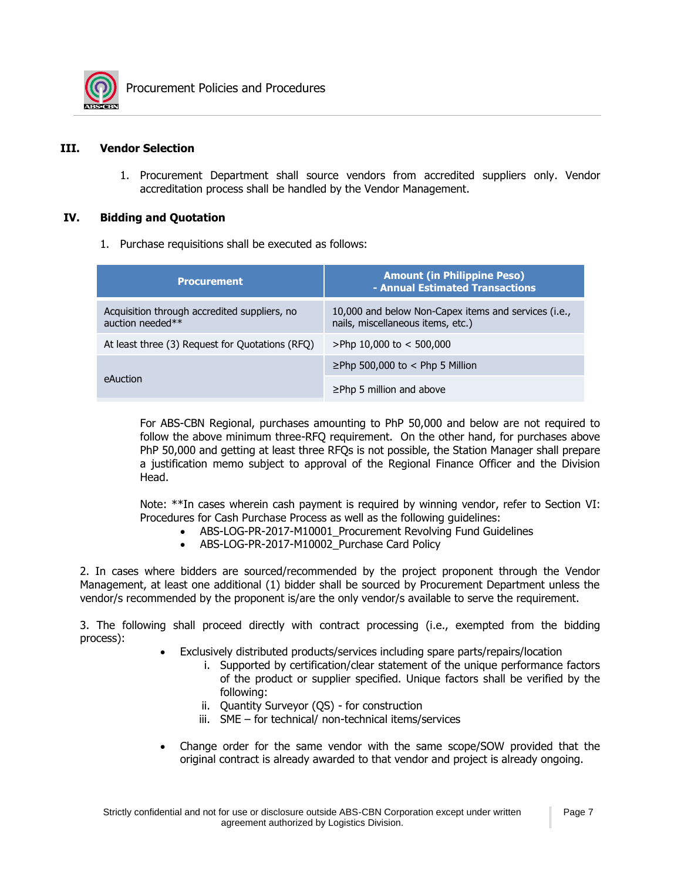

#### **III. Vendor Selection**

1. Procurement Department shall source vendors from accredited suppliers only. Vendor accreditation process shall be handled by the Vendor Management.

#### **IV. Bidding and Quotation**

1. Purchase requisitions shall be executed as follows:

| <b>Procurement</b>                                               | <b>Amount (in Philippine Peso)</b><br>- Annual Estimated Transactions                     |  |
|------------------------------------------------------------------|-------------------------------------------------------------------------------------------|--|
| Acquisition through accredited suppliers, no<br>auction needed** | 10,000 and below Non-Capex items and services (i.e.,<br>nails, miscellaneous items, etc.) |  |
| At least three (3) Request for Quotations (RFQ)                  | >Php 10,000 to $<$ 500,000                                                                |  |
|                                                                  | $\ge$ Php 500,000 to < Php 5 Million                                                      |  |
| eAuction                                                         | $\geq$ Php 5 million and above                                                            |  |

For ABS-CBN Regional, purchases amounting to PhP 50,000 and below are not required to follow the above minimum three-RFQ requirement. On the other hand, for purchases above PhP 50,000 and getting at least three RFQs is not possible, the Station Manager shall prepare a justification memo subject to approval of the Regional Finance Officer and the Division Head.

Note: \*\*In cases wherein cash payment is required by winning vendor, refer to Section VI: Procedures for Cash Purchase Process as well as the following guidelines:

- ABS-LOG-PR-2017-M10001 Procurement Revolving Fund Guidelines
- ABS-LOG-PR-2017-M10002\_Purchase Card Policy

2. In cases where bidders are sourced/recommended by the project proponent through the Vendor Management, at least one additional (1) bidder shall be sourced by Procurement Department unless the vendor/s recommended by the proponent is/are the only vendor/s available to serve the requirement.

3. The following shall proceed directly with contract processing (i.e., exempted from the bidding process):

- Exclusively distributed products/services including spare parts/repairs/location
	- i. Supported by certification/clear statement of the unique performance factors of the product or supplier specified. Unique factors shall be verified by the following:
	- ii. Quantity Surveyor (QS) for construction
	- iii. SME for technical/ non-technical items/services
- Change order for the same vendor with the same scope/SOW provided that the original contract is already awarded to that vendor and project is already ongoing.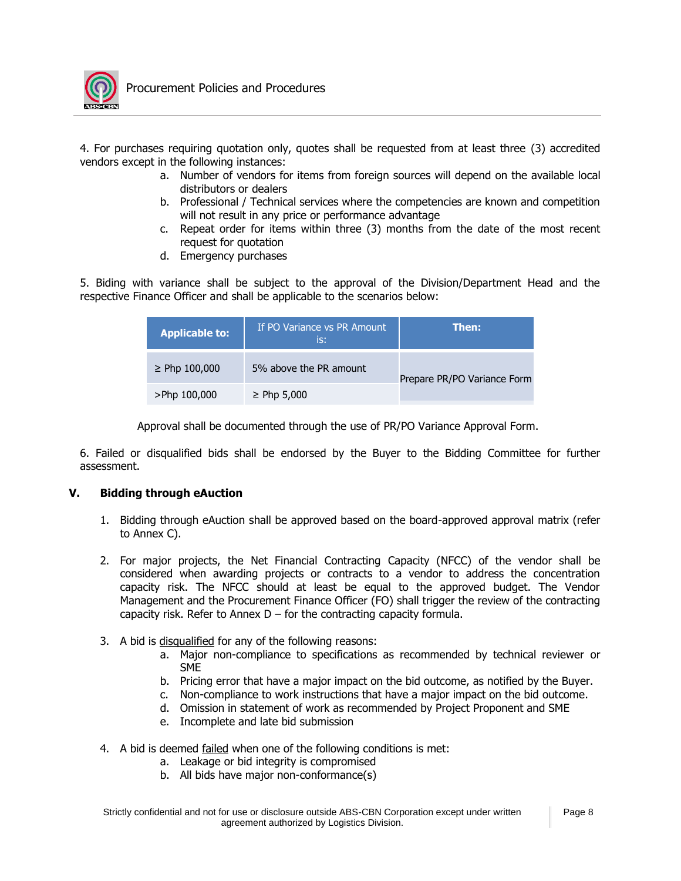

4. For purchases requiring quotation only, quotes shall be requested from at least three (3) accredited vendors except in the following instances:

- a. Number of vendors for items from foreign sources will depend on the available local distributors or dealers
- b. Professional / Technical services where the competencies are known and competition will not result in any price or performance advantage
- c. Repeat order for items within three (3) months from the date of the most recent request for quotation
- d. Emergency purchases

5. Biding with variance shall be subject to the approval of the Division/Department Head and the respective Finance Officer and shall be applicable to the scenarios below:

| <b>Applicable to:</b> | If PO Variance vs PR Amount<br>is: | Then:                       |  |
|-----------------------|------------------------------------|-----------------------------|--|
| $\geq$ Php 100,000    | 5% above the PR amount             | Prepare PR/PO Variance Form |  |
| >Php 100,000          | $\geq$ Php 5,000                   |                             |  |

Approval shall be documented through the use of PR/PO Variance Approval Form.

6. Failed or disqualified bids shall be endorsed by the Buyer to the Bidding Committee for further assessment.

#### **V. Bidding through eAuction**

- 1. Bidding through eAuction shall be approved based on the board-approved approval matrix (refer to Annex C).
- 2. For major projects, the Net Financial Contracting Capacity (NFCC) of the vendor shall be considered when awarding projects or contracts to a vendor to address the concentration capacity risk. The NFCC should at least be equal to the approved budget. The Vendor Management and the Procurement Finance Officer (FO) shall trigger the review of the contracting capacity risk. Refer to Annex  $D$  – for the contracting capacity formula.
- 3. A bid is disqualified for any of the following reasons:
	- a. Major non-compliance to specifications as recommended by technical reviewer or SME
	- b. Pricing error that have a major impact on the bid outcome, as notified by the Buyer.
	- c. Non-compliance to work instructions that have a major impact on the bid outcome.
	- d. Omission in statement of work as recommended by Project Proponent and SME
	- e. Incomplete and late bid submission
- 4. A bid is deemed failed when one of the following conditions is met:
	- a. Leakage or bid integrity is compromised
	- b. All bids have major non-conformance(s)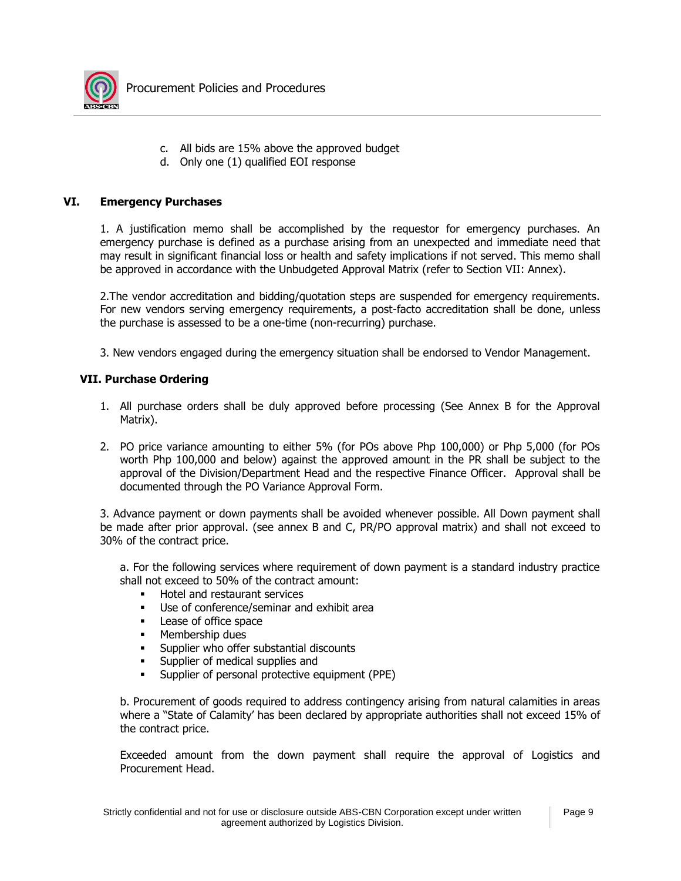

- c. All bids are 15% above the approved budget
- d. Only one (1) qualified EOI response

#### **VI. Emergency Purchases**

1. A justification memo shall be accomplished by the requestor for emergency purchases. An emergency purchase is defined as a purchase arising from an unexpected and immediate need that may result in significant financial loss or health and safety implications if not served. This memo shall be approved in accordance with the Unbudgeted Approval Matrix (refer to Section VII: Annex).

2.The vendor accreditation and bidding/quotation steps are suspended for emergency requirements. For new vendors serving emergency requirements, a post-facto accreditation shall be done, unless the purchase is assessed to be a one-time (non-recurring) purchase.

3. New vendors engaged during the emergency situation shall be endorsed to Vendor Management.

#### **VII. Purchase Ordering**

- 1. All purchase orders shall be duly approved before processing (See Annex B for the Approval Matrix).
- 2. PO price variance amounting to either 5% (for POs above Php 100,000) or Php 5,000 (for POs worth Php 100,000 and below) against the approved amount in the PR shall be subject to the approval of the Division/Department Head and the respective Finance Officer. Approval shall be documented through the PO Variance Approval Form.

3. Advance payment or down payments shall be avoided whenever possible. All Down payment shall be made after prior approval. (see annex B and C, PR/PO approval matrix) and shall not exceed to 30% of the contract price.

a. For the following services where requirement of down payment is a standard industry practice shall not exceed to 50% of the contract amount:

- Hotel and restaurant services
- Use of conference/seminar and exhibit area
- Lease of office space
- Membership dues
- **EXECUTE:** Supplier who offer substantial discounts
- **EXECUTE:** Supplier of medical supplies and
- **EXECT** Supplier of personal protective equipment (PPE)

b. Procurement of goods required to address contingency arising from natural calamities in areas where a "State of Calamity' has been declared by appropriate authorities shall not exceed 15% of the contract price.

Exceeded amount from the down payment shall require the approval of Logistics and Procurement Head.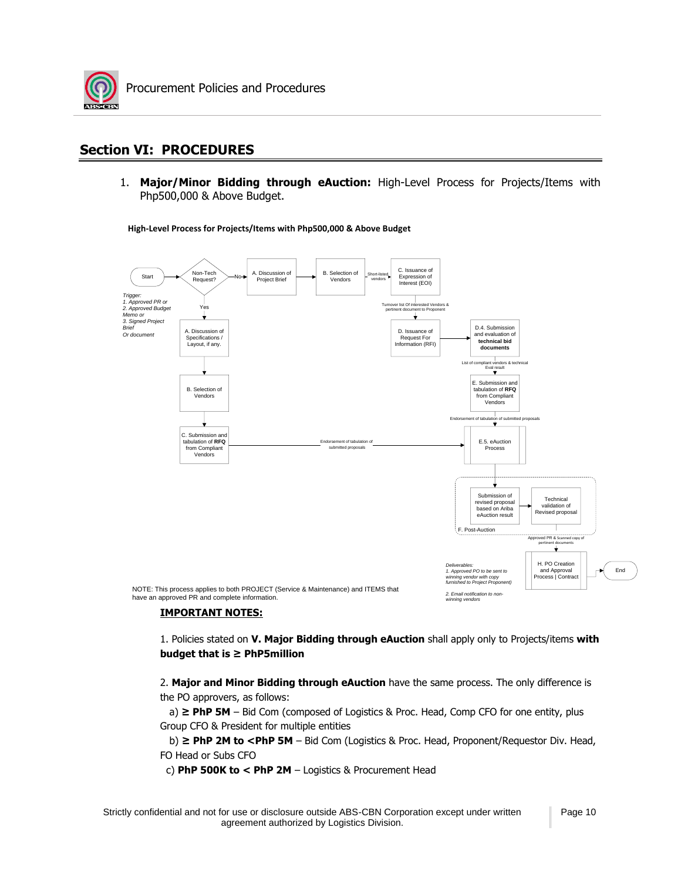

## **Section VI: PROCEDURES**

1. **Major/Minor Bidding through eAuction:** High-Level Process for Projects/Items with Php500,000 & Above Budget.

**High-Level Process for Projects/Items with Php500,000 & Above Budget**



#### **IMPORTANT NOTES:**

1. Policies stated on **V. Major Bidding through eAuction** shall apply only to Projects/items **with budget that is ≥ PhP5million**

2. **Major and Minor Bidding through eAuction** have the same process. The only difference is the PO approvers, as follows:

 a) **≥ PhP 5M** – Bid Com (composed of Logistics & Proc. Head, Comp CFO for one entity, plus Group CFO & President for multiple entities

b) ≥ PhP 2M to <PhP 5M - Bid Com (Logistics & Proc. Head, Proponent/Requestor Div. Head, FO Head or Subs CFO

c) **PhP 500K to < PhP 2M** – Logistics & Procurement Head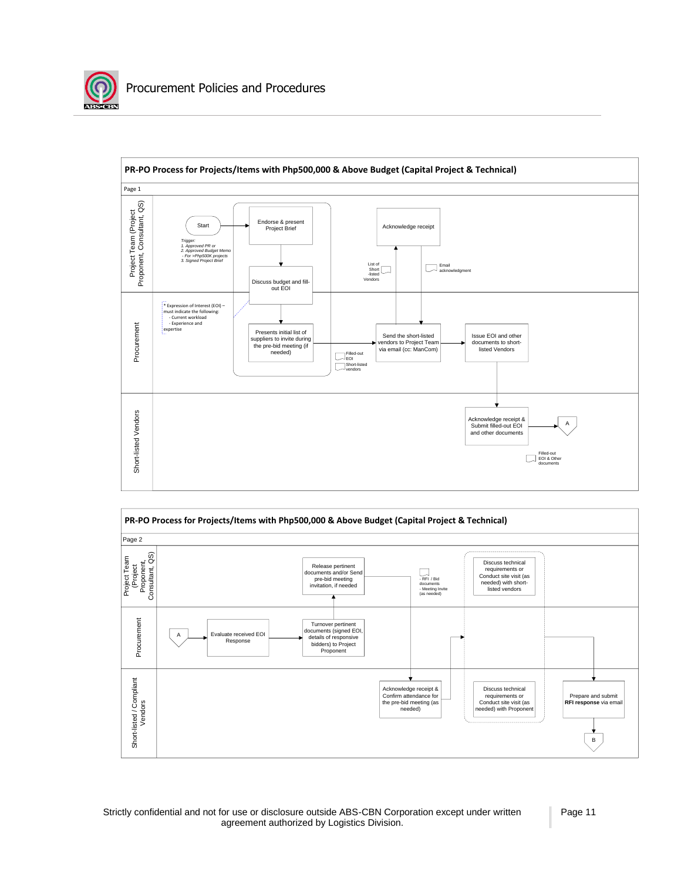



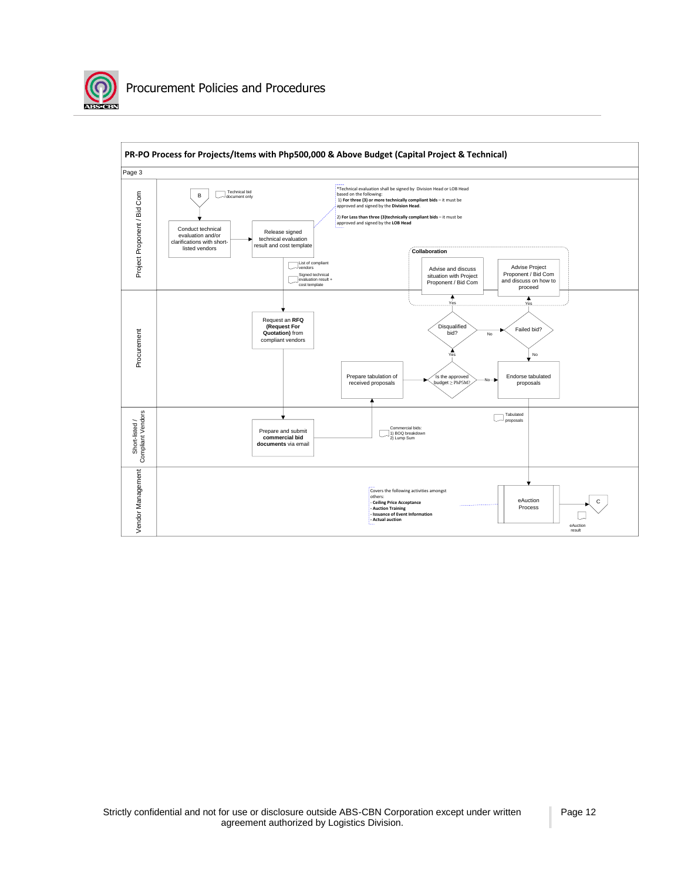

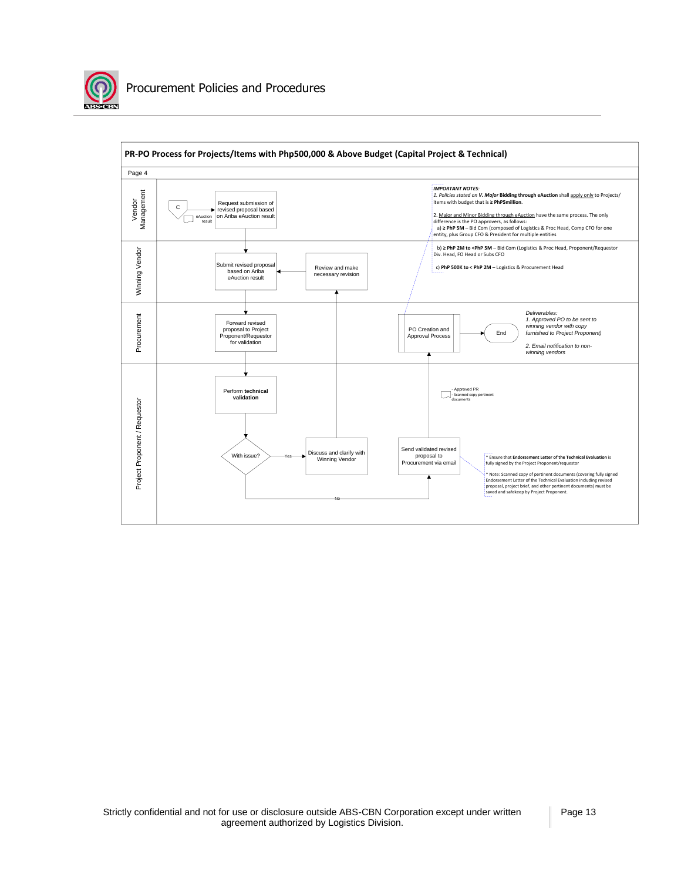

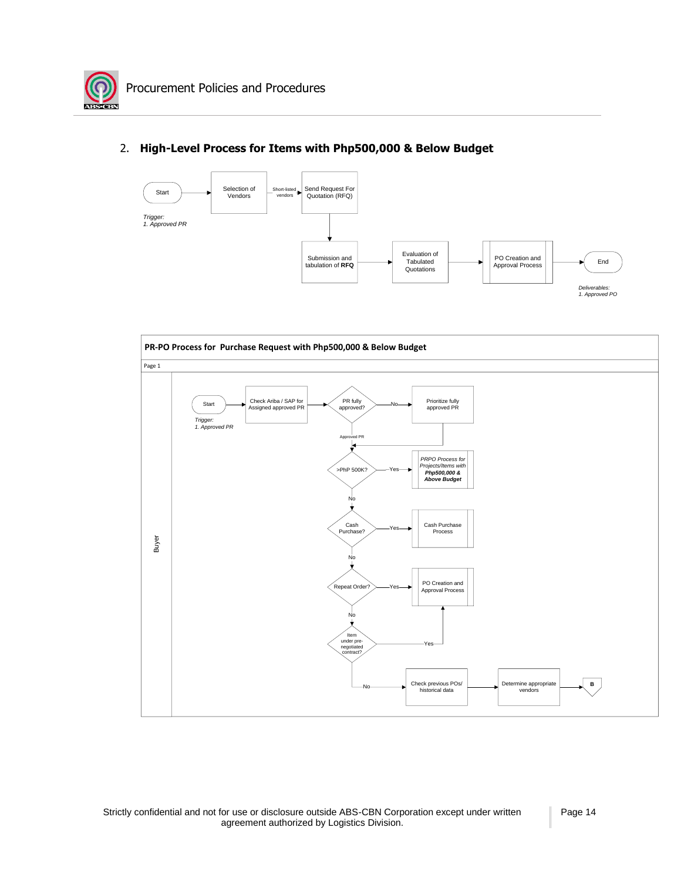

## Start Start Selection of Send Request For Vendors Start Punchase Send Request For Quotation (RFQ) Submission and Trigger:<br>1. Approved PR<br>
Submission and<br>
Submission of **RFQ** End **Tabulated** PO Creation and **PO Creation and** PO Creation and **PO Creation and** PO Creation and **End** *Deliverables:* **1.** *PO* Creation and **Approval Process Quotations Process Poliverables:<br>** *PO* **Creation and Approval Process** *Deliverables:***<br>** *1. Approved PO* Selection of Vendors



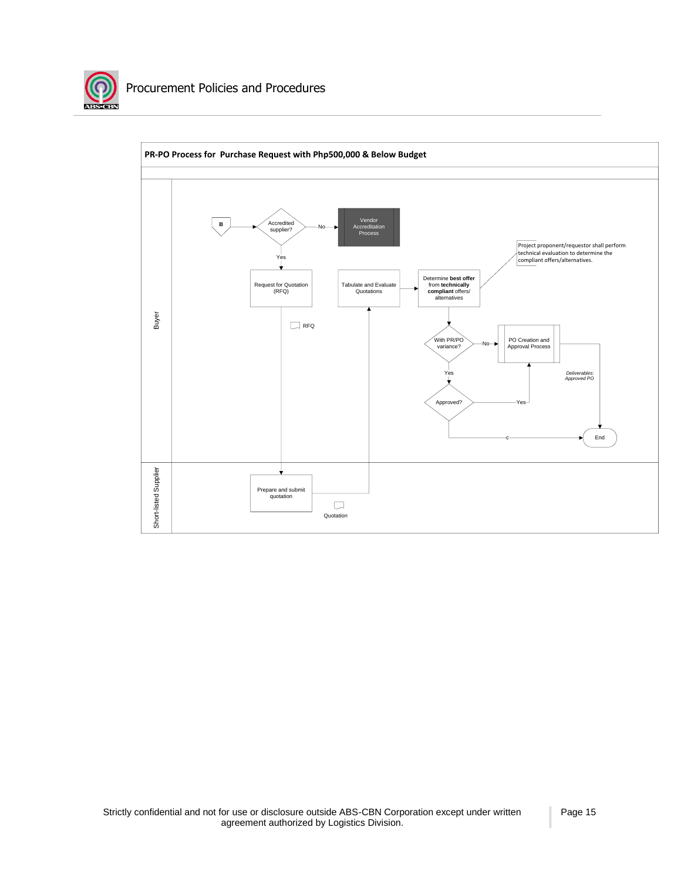

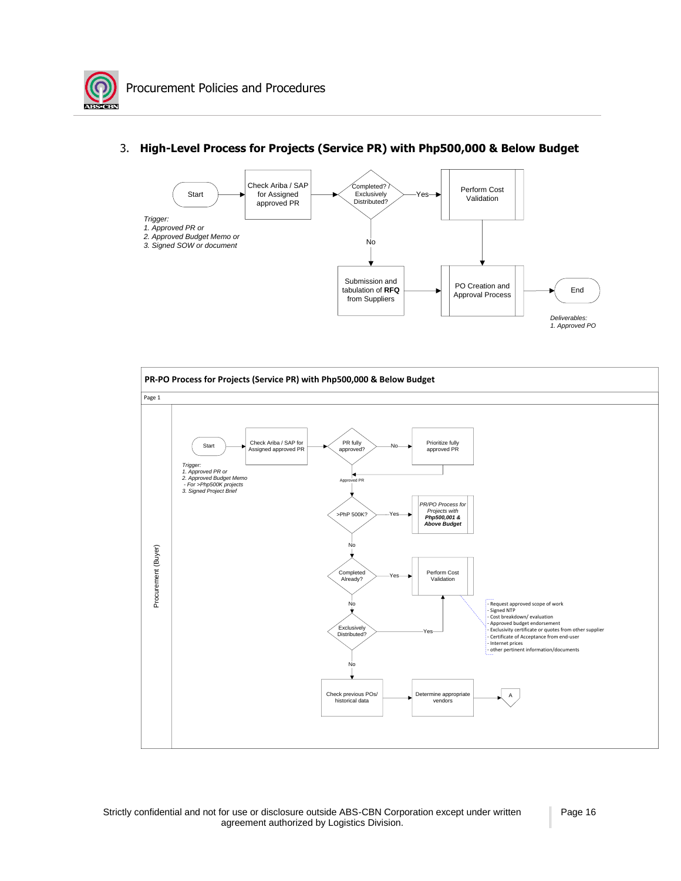



#### 3. **High-Level Process for Projects (Service PR) with Php500,000 & Below Budget**

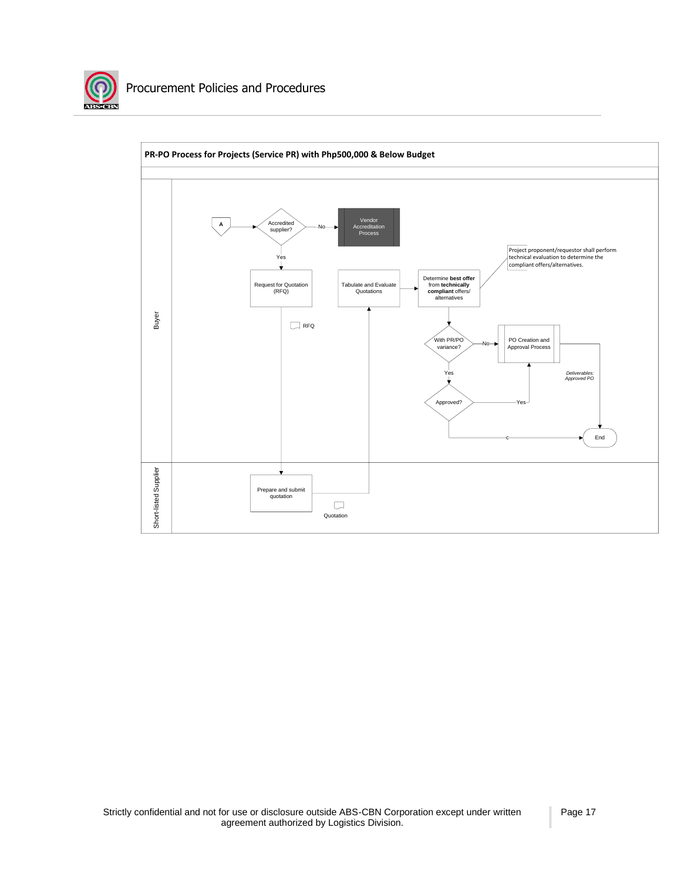

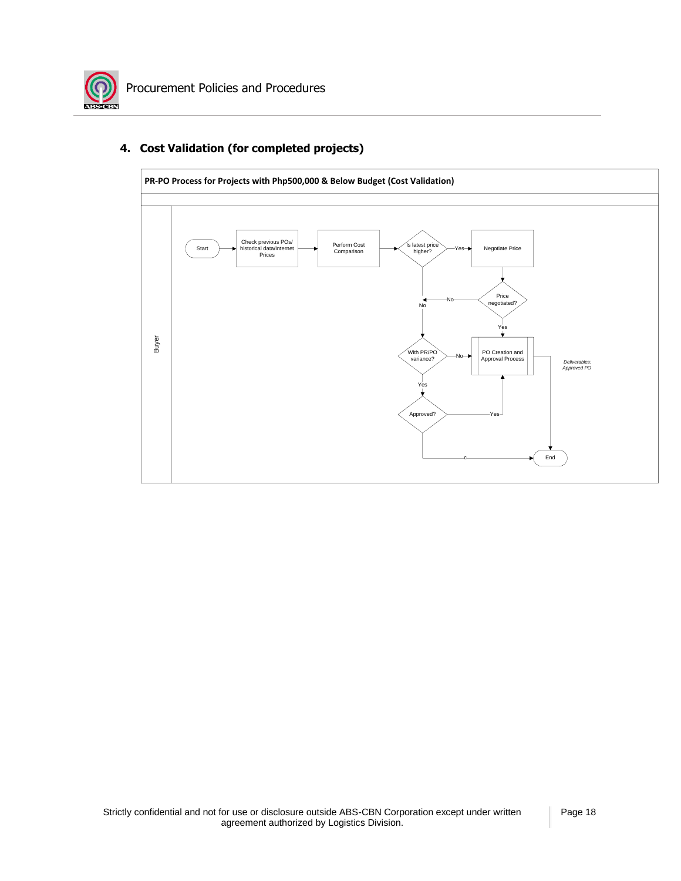

## **4. Cost Validation (for completed projects)**

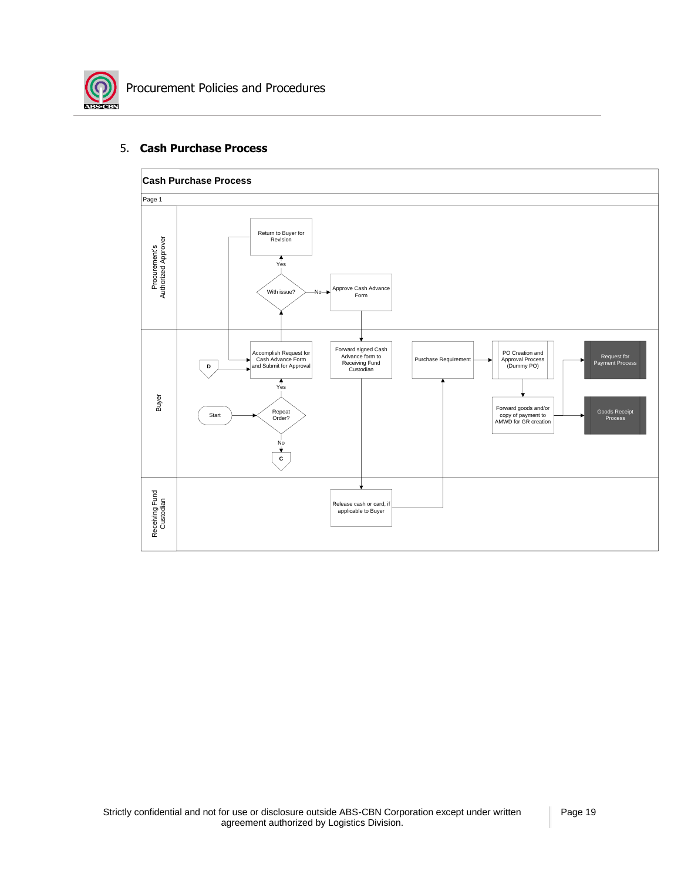

#### 5. **Cash Purchase Process**

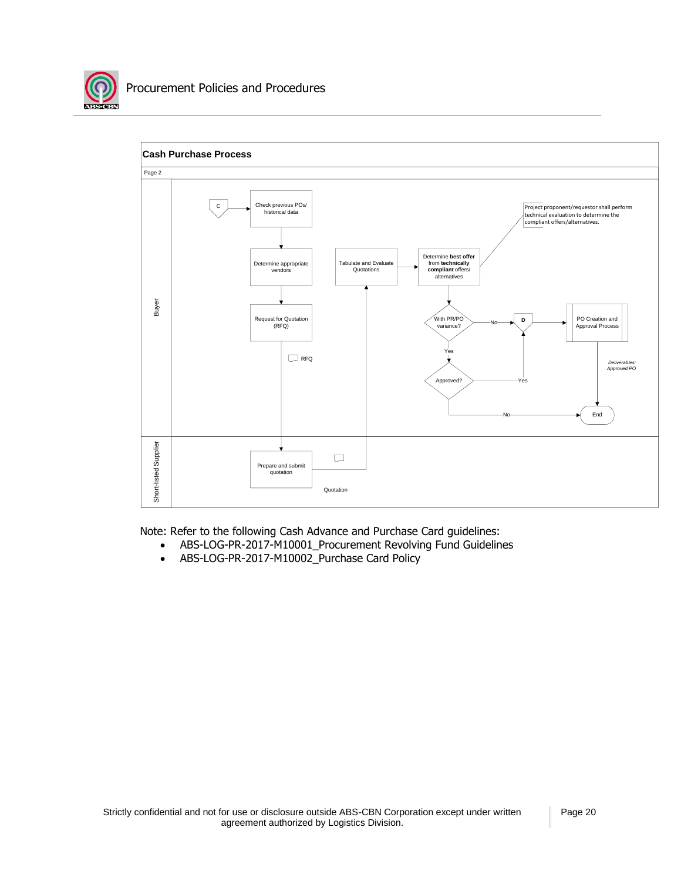



Note: Refer to the following Cash Advance and Purchase Card guidelines:

- ABS-LOG-PR-2017-M10001\_Procurement Revolving Fund Guidelines
- ABS-LOG-PR-2017-M10002\_Purchase Card Policy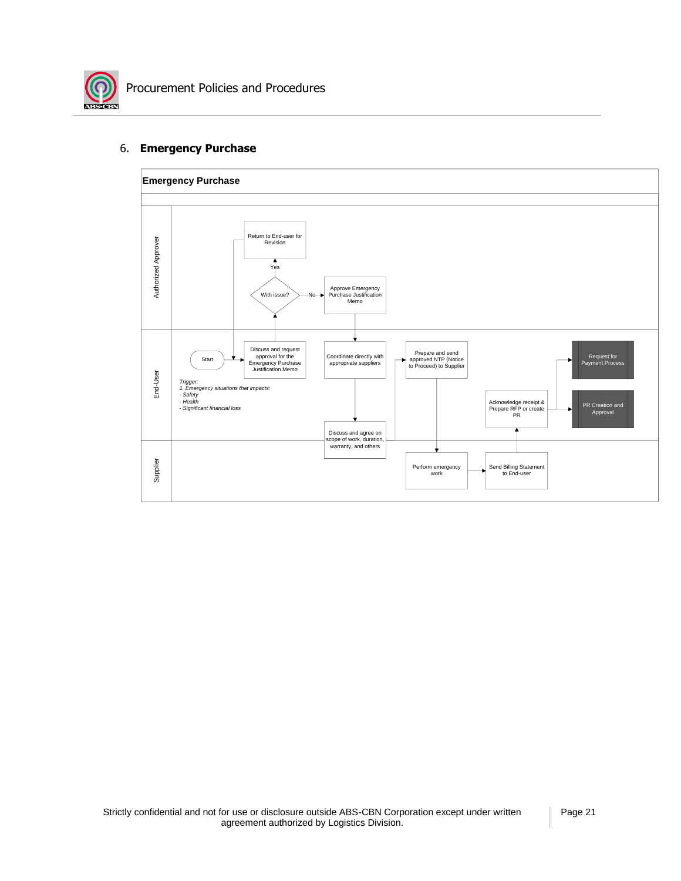

#### 6. **Emergency Purchase**

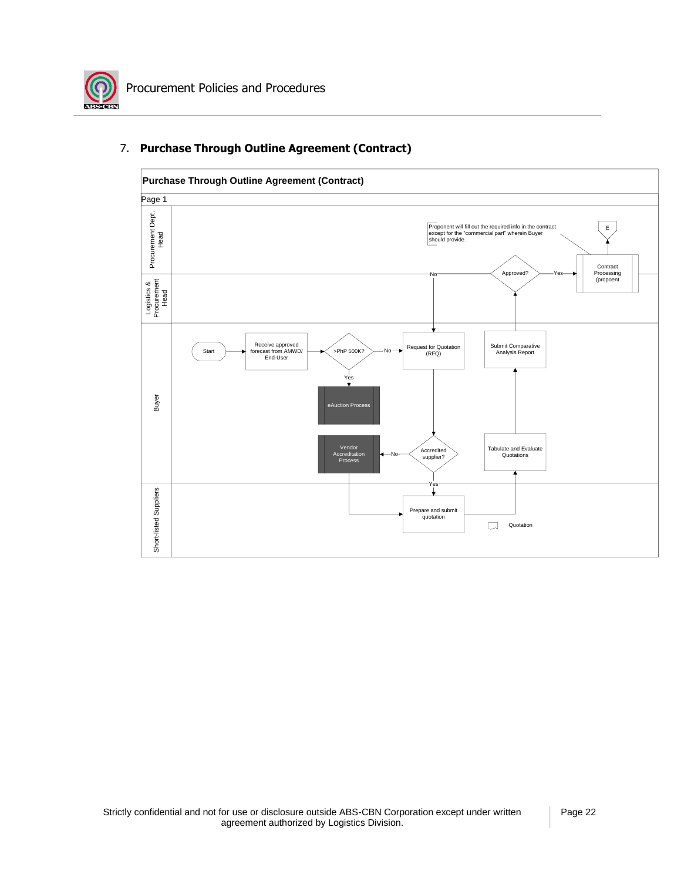![](_page_22_Picture_0.jpeg)

![](_page_22_Figure_2.jpeg)

### 7. **Purchase Through Outline Agreement (Contract)**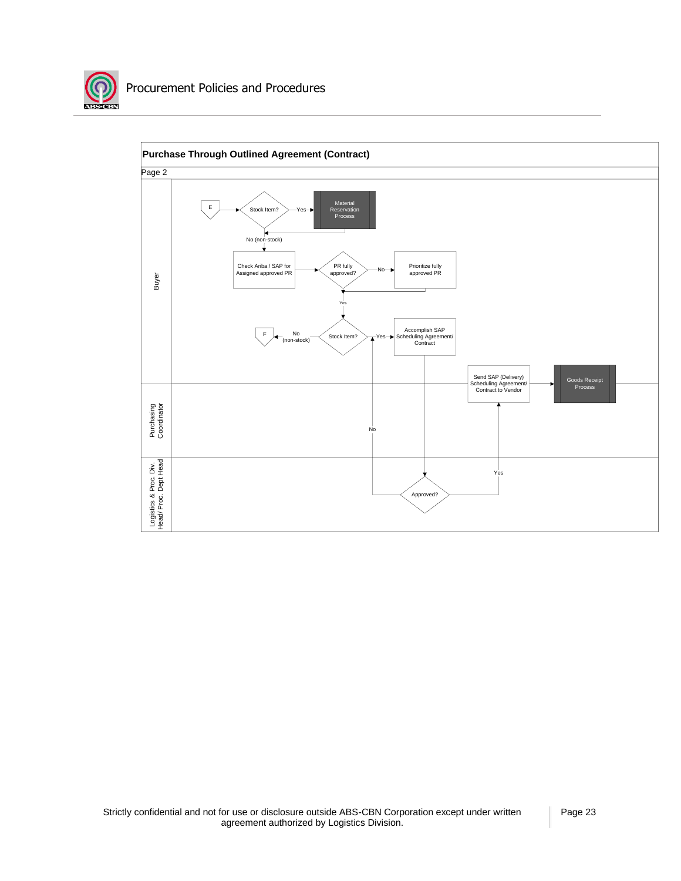![](_page_23_Picture_0.jpeg)

![](_page_23_Figure_2.jpeg)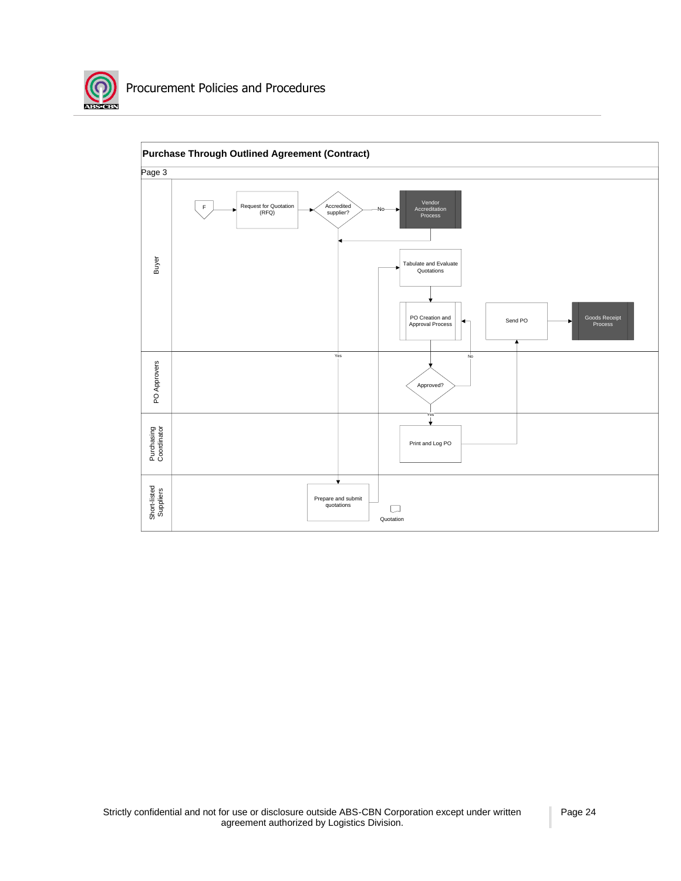![](_page_24_Picture_0.jpeg)

![](_page_24_Figure_2.jpeg)